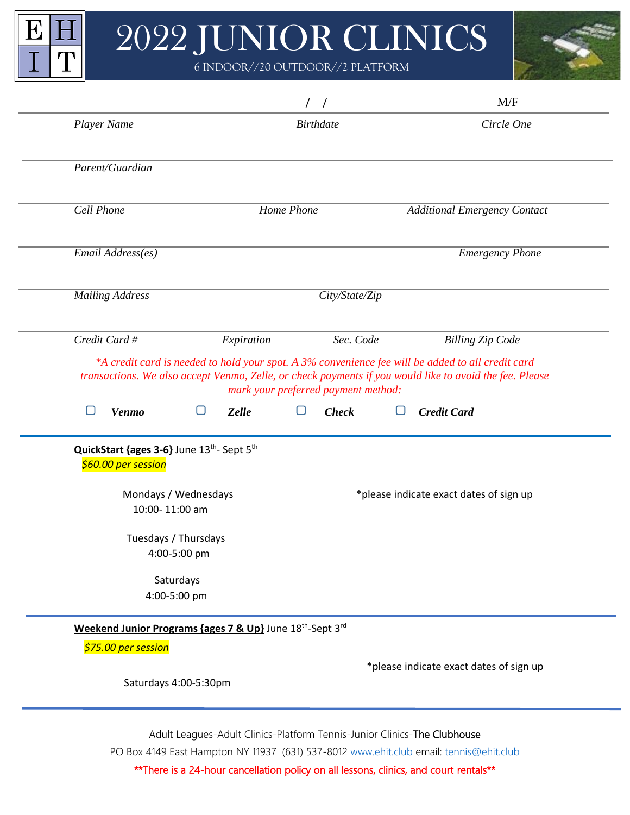

E

 $\overline{I}$ 

 $\vert \mathrm{H} \vert$ 

 $\mathbf T$ 

6 INDOOR//20 OUTDOOR//2 PLATFORM



|                                                                  |                                                                                   | $\left  \right $                                                         | M/F                                                                                                                                                                                                          |
|------------------------------------------------------------------|-----------------------------------------------------------------------------------|--------------------------------------------------------------------------|--------------------------------------------------------------------------------------------------------------------------------------------------------------------------------------------------------------|
| Player Name                                                      |                                                                                   | <b>Birthdate</b>                                                         | Circle One                                                                                                                                                                                                   |
| Parent/Guardian                                                  |                                                                                   |                                                                          |                                                                                                                                                                                                              |
| Cell Phone                                                       |                                                                                   | Home Phone                                                               | <b>Additional Emergency Contact</b>                                                                                                                                                                          |
| Email Address(es)                                                |                                                                                   |                                                                          | <b>Emergency Phone</b>                                                                                                                                                                                       |
| <b>Mailing Address</b>                                           |                                                                                   | City/State/Zip                                                           |                                                                                                                                                                                                              |
| Credit Card #                                                    | Expiration                                                                        | Sec. Code                                                                | <b>Billing Zip Code</b>                                                                                                                                                                                      |
|                                                                  |                                                                                   | mark your preferred payment method:                                      | *A credit card is needed to hold your spot. A 3% convenience fee will be added to all credit card<br>transactions. We also accept Venmo, Zelle, or check payments if you would like to avoid the fee. Please |
| <b>Venmo</b>                                                     | ∩<br><b>Zelle</b>                                                                 | <b>Check</b>                                                             | <b>Credit Card</b>                                                                                                                                                                                           |
| QuickStart {ages 3-6} June 13th- Sept 5th<br>\$60.00 per session | Mondays / Wednesdays                                                              |                                                                          | *please indicate exact dates of sign up                                                                                                                                                                      |
|                                                                  | 10:00-11:00 am                                                                    |                                                                          |                                                                                                                                                                                                              |
|                                                                  | Tuesdays / Thursdays<br>4:00-5:00 pm                                              |                                                                          |                                                                                                                                                                                                              |
|                                                                  | Saturdays<br>4:00-5:00 pm                                                         |                                                                          |                                                                                                                                                                                                              |
|                                                                  | Weekend Junior Programs {ages 7 & Up} June 18 <sup>th</sup> -Sept 3 <sup>rd</sup> |                                                                          |                                                                                                                                                                                                              |
| \$75.00 per session                                              |                                                                                   |                                                                          |                                                                                                                                                                                                              |
|                                                                  |                                                                                   |                                                                          | *please indicate exact dates of sign up                                                                                                                                                                      |
|                                                                  | Saturdays 4:00-5:30pm                                                             |                                                                          |                                                                                                                                                                                                              |
|                                                                  |                                                                                   | Adult Leagues-Adult Clinics-Platform Tennis-Junior Clinics-The Clubhouse | PO Box 4149 East Hampton NY 11937 (631) 537-8012 www.ehit.club email: tennis@ehit.club                                                                                                                       |